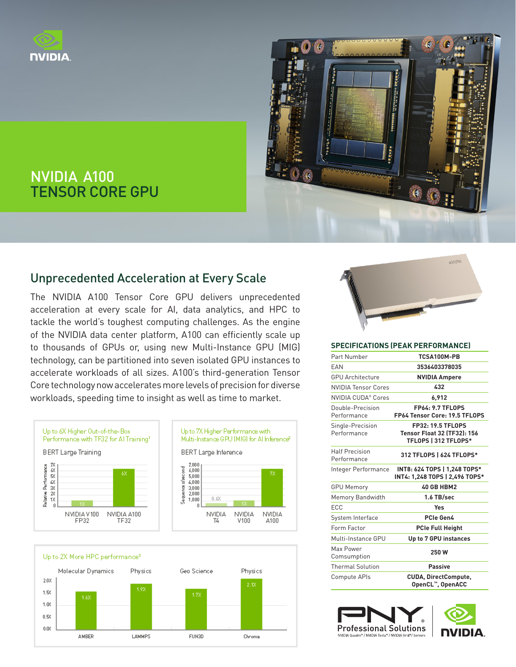



# NVIDIA A100 TENSOR CORE GPU

## Unprecedented Acceleration at Every Scale

The NVIDIA A100 Tensor Core GPU delivers unprecedented acceleration at every scale for AI, data analytics, and HPC to tackle the world's toughest computing challenges. As the engine of the NVIDIA data center platform, A100 can efficiently scale up to thousands of GPUs or, using new Multi-Instance GPU (MIG) technology, can be partitioned into seven isolated GPU instances to accelerate workloads of all sizes. A100's third-generation Tensor Core technology now accelerates more levels of precision for diverse workloads, speeding time to insight as well as time to market.







#### **SPECIFICATIONS (PEAK PERFORMANCE)**

| Part Number                          | TCSA100M-PB                                                                            |
|--------------------------------------|----------------------------------------------------------------------------------------|
| EAN                                  | 3536403378035                                                                          |
| <b>GPU Architecture</b>              | <b>NVIDIA Ampere</b>                                                                   |
| <b>NVIDIA Tensor Cores</b>           | 432                                                                                    |
| NVIDIA CUDA® Cores                   | 6.912                                                                                  |
| Double-Precision<br>Performance      | <b>FP64: 9.7 TFLOPS</b><br>FP64 Tensor Core: 19.5 TFLOPS                               |
| Single-Precision<br>Performance      | <b>FP32: 19.5 TFLOPS</b><br><b>Tensor Float 32 (TF32): 156</b><br>TFLOPS   312 TFLOPS* |
| <b>Half Precision</b><br>Performance | 312 TFLOPS   624 TFLOPS*                                                               |
| Integer Performance                  | INT8: 624 TOPS   1,248 TOPS*<br>INT4: 1,248 TOPS   2,496 TOPS*                         |
| <b>GPU Memory</b>                    | 40 GB HBM2                                                                             |
| Memory Bandwidth                     | 1.6 TB/sec                                                                             |
| ECC                                  | Yes                                                                                    |
| System Interface                     | PCIe Gen4                                                                              |
| Form Factor                          | <b>PCIe Full Height</b>                                                                |
| Multi-Instance GPU                   | Up to 7 GPU instances                                                                  |
| Max Power<br>Comsumption             | 250W                                                                                   |
| <b>Thermal Solution</b>              | <b>Passive</b>                                                                         |
| Compute APIs                         | <b>CUDA, DirectCompute,</b><br>OpenCL™, OpenACC                                        |